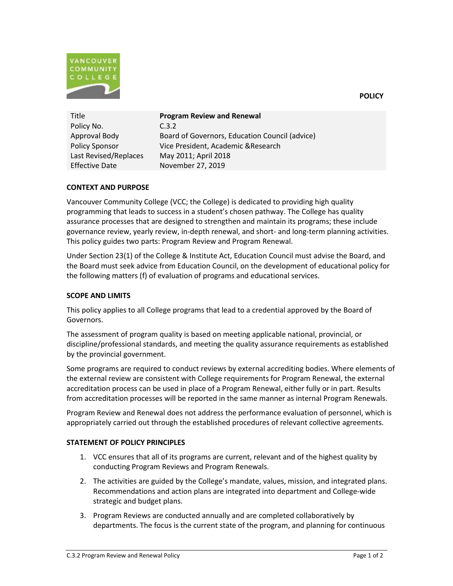

| Title                 | <b>Program Review and Renewal</b>              |
|-----------------------|------------------------------------------------|
| Policy No.            | C.3.2                                          |
| Approval Body         | Board of Governors, Education Council (advice) |
| <b>Policy Sponsor</b> | Vice President, Academic & Research            |
| Last Revised/Replaces | May 2011; April 2018                           |
| <b>Effective Date</b> | November 27, 2019                              |
|                       |                                                |

# **CONTEXT AND PURPOSE**

Vancouver Community College (VCC; the College) is dedicated to providing high quality programming that leads to success in a student's chosen pathway. The College has quality assurance processes that are designed to strengthen and maintain its programs; these include governance review, yearly review, in-depth renewal, and short- and long-term planning activities. This policy guides two parts: Program Review and Program Renewal.

Under Section 23(1) of the College & Institute Act, Education Council must advise the Board, and the Board must seek advice from Education Council, on the development of educational policy for the following matters (f) of evaluation of programs and educational services.

# **SCOPE AND LIMITS**

This policy applies to all College programs that lead to a credential approved by the Board of Governors.

The assessment of program quality is based on meeting applicable national, provincial, or discipline/professional standards, and meeting the quality assurance requirements as established by the provincial government.

Some programs are required to conduct reviews by external accrediting bodies. Where elements of the external review are consistent with College requirements for Program Renewal, the external accreditation process can be used in place of a Program Renewal, either fully or in part. Results from accreditation processes will be reported in the same manner as internal Program Renewals.

Program Review and Renewal does not address the performance evaluation of personnel, which is appropriately carried out through the established procedures of relevant collective agreements.

# **STATEMENT OF POLICY PRINCIPLES**

- 1. VCC ensures that all of its programs are current, relevant and of the highest quality by conducting Program Reviews and Program Renewals.
- 2. The activities are guided by the College's mandate, values, mission, and integrated plans. Recommendations and action plans are integrated into department and College-wide strategic and budget plans.
- 3. Program Reviews are conducted annually and are completed collaboratively by departments. The focus is the current state of the program, and planning for continuous